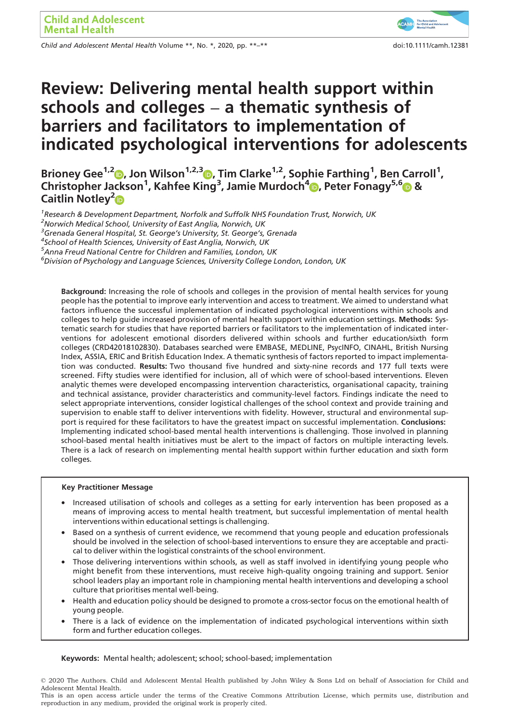Child and Adolescent Mental Health Volume \*\*, No. \*, 2020, pp. \*\*-\*\* doi:10.1111/camh.12381



# Review: Delivering mental health support within schools and colleges – a thematic synthesis of barriers and facilitators to implementation of indicated psychological interventions for adolescents

Brioney Gee<sup>1,2</sup>D, Jon Wilson<sup>1,2,[3](https://orcid.org/0000-0002-5279-6237)</sup>D, Tim Clarke<sup>1,2</sup>, Sophie Farthing<sup>1</sup>, Ben Carroll<sup>1</sup>, Christopher Jackson<sup>1</sup>, Kahfee King<sup>3</sup>, Jamie Murdoch<sup>4</sup> , Peter Fonagy<sup>5,[6](https://orcid.org/0000-0003-0229-0091)</sup> & Caitlin Notley<sup>2</sup><sup>D</sup>

1 Research & Development Department, Norfolk and Suffolk NHS Foundation Trust, Norwich, UK <sup>2</sup>Norwich Medical School, University of East Anglia, Norwich, UK <sup>3</sup>Grenada General Hospital, St. George's University, St. George's, Grenada 4 School of Health Sciences, University of East Anglia, Norwich, UK 5 Anna Freud National Centre for Children and Families, London, UK

<sup>6</sup>Division of Psychology and Language Sciences, University College London, London, UK

Background: Increasing the role of schools and colleges in the provision of mental health services for young people has the potential to improve early intervention and access to treatment. We aimed to understand what factors influence the successful implementation of indicated psychological interventions within schools and colleges to help guide increased provision of mental health support within education settings. Methods: Systematic search for studies that have reported barriers or facilitators to the implementation of indicated interventions for adolescent emotional disorders delivered within schools and further education/sixth form colleges (CRD42018102830). Databases searched were EMBASE, MEDLINE, PsycINFO, CINAHL, British Nursing Index, ASSIA, ERIC and British Education Index. A thematic synthesis of factors reported to impact implementation was conducted. Results: Two thousand five hundred and sixty-nine records and 177 full texts were screened. Fifty studies were identified for inclusion, all of which were of school-based interventions. Eleven analytic themes were developed encompassing intervention characteristics, organisational capacity, training and technical assistance, provider characteristics and community-level factors. Findings indicate the need to select appropriate interventions, consider logistical challenges of the school context and provide training and supervision to enable staff to deliver interventions with fidelity. However, structural and environmental support is required for these facilitators to have the greatest impact on successful implementation. Conclusions: Implementing indicated school-based mental health interventions is challenging. Those involved in planning school-based mental health initiatives must be alert to the impact of factors on multiple interacting levels. There is a lack of research on implementing mental health support within further education and sixth form colleges.

#### Key Practitioner Message

- Increased utilisation of schools and colleges as a setting for early intervention has been proposed as a means of improving access to mental health treatment, but successful implementation of mental health interventions within educational settings is challenging.
- Based on a synthesis of current evidence, we recommend that young people and education professionals should be involved in the selection of school-based interventions to ensure they are acceptable and practical to deliver within the logistical constraints of the school environment.
- Those delivering interventions within schools, as well as staff involved in identifying young people who might benefit from these interventions, must receive high-quality ongoing training and support. Senior school leaders play an important role in championing mental health interventions and developing a school culture that prioritises mental well-being.
- Health and education policy should be designed to promote a cross-sector focus on the emotional health of young people.
- There is a lack of evidence on the implementation of indicated psychological interventions within sixth form and further education colleges.

Keywords: Mental health; adolescent; school; school-based; implementation

© 2020 The Authors. Child and Adolescent Mental Health published by John Wiley & Sons Ltd on behalf of Association for Child and Adolescent Mental Health.

This is an open access article under the terms of the [Creative Commons Attribution](http://creativecommons.org/licenses/by/4.0/) License, which permits use, distribution and reproduction in any medium, provided the original work is properly cited.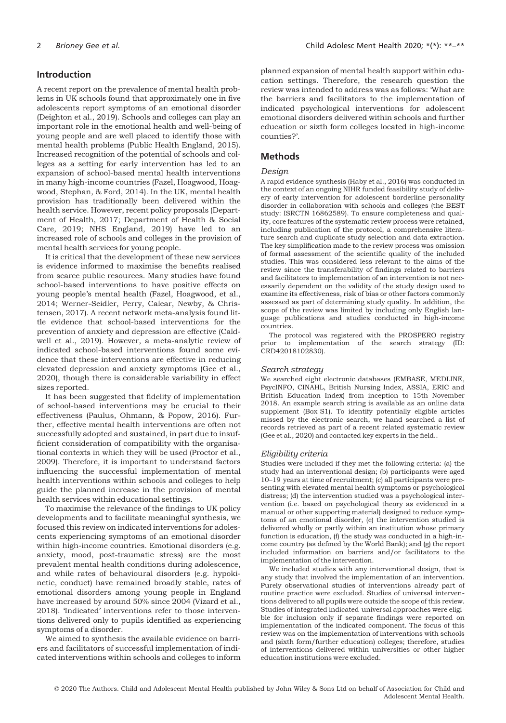# Introduction

A recent report on the prevalence of mental health problems in UK schools found that approximately one in five adolescents report symptoms of an emotional disorder (Deighton et al., 2019). Schools and colleges can play an important role in the emotional health and well-being of young people and are well placed to identify those with mental health problems (Public Health England, 2015). Increased recognition of the potential of schools and colleges as a setting for early intervention has led to an expansion of school-based mental health interventions in many high-income countries (Fazel, Hoagwood, Hoagwood, Stephan, & Ford, 2014). In the UK, mental health provision has traditionally been delivered within the health service. However, recent policy proposals (Department of Health, 2017; Department of Health & Social Care, 2019; NHS England, 2019) have led to an increased role of schools and colleges in the provision of mental health services for young people.

It is critical that the development of these new services is evidence informed to maximise the benefits realised from scarce public resources. Many studies have found school-based interventions to have positive effects on young people's mental health (Fazel, Hoagwood, et al., 2014; Werner-Seidler, Perry, Calear, Newby, & Christensen, 2017). A recent network meta-analysis found little evidence that school-based interventions for the prevention of anxiety and depression are effective (Caldwell et al., 2019). However, a meta-analytic review of indicated school-based interventions found some evidence that these interventions are effective in reducing elevated depression and anxiety symptoms (Gee et al., 2020), though there is considerable variability in effect sizes reported.

It has been suggested that fidelity of implementation of school-based interventions may be crucial to their effectiveness (Paulus, Ohmann, & Popow, 2016). Further, effective mental health interventions are often not successfully adopted and sustained, in part due to insufficient consideration of compatibility with the organisational contexts in which they will be used (Proctor et al., 2009). Therefore, it is important to understand factors influencing the successful implementation of mental health interventions within schools and colleges to help guide the planned increase in the provision of mental health services within educational settings.

To maximise the relevance of the findings to UK policy developments and to facilitate meaningful synthesis, we focused this review on indicated interventions for adolescents experiencing symptoms of an emotional disorder within high-income countries. Emotional disorders (e.g. anxiety, mood, post-traumatic stress) are the most prevalent mental health conditions during adolescence, and while rates of behavioural disorders (e.g. hypokinetic, conduct) have remained broadly stable, rates of emotional disorders among young people in England have increased by around 50% since 2004 (Vizard et al., 2018). 'Indicated' interventions refer to those interventions delivered only to pupils identified as experiencing symptoms of a disorder.

We aimed to synthesis the available evidence on barriers and facilitators of successful implementation of indicated interventions within schools and colleges to inform

planned expansion of mental health support within education settings. Therefore, the research question the review was intended to address was as follows: 'What are the barriers and facilitators to the implementation of indicated psychological interventions for adolescent emotional disorders delivered within schools and further education or sixth form colleges located in high-income counties?'.

## Methods

## Design

A rapid evidence synthesis (Haby et al., 2016) was conducted in the context of an ongoing NIHR funded feasibility study of delivery of early intervention for adolescent borderline personality disorder in collaboration with schools and colleges (the BEST study: ISRCTN 16862589). To ensure completeness and quality, core features of the systematic review process were retained, including publication of the protocol, a comprehensive literature search and duplicate study selection and data extraction. The key simplification made to the review process was omission of formal assessment of the scientific quality of the included studies. This was considered less relevant to the aims of the review since the transferability of findings related to barriers and facilitators to implementation of an intervention is not necessarily dependent on the validity of the study design used to examine its effectiveness, risk of bias or other factors commonly assessed as part of determining study quality. In addition, the scope of the review was limited by including only English language publications and studies conducted in high-income countries.

The protocol was registered with the PROSPERO registry prior to implementation of the search strategy (ID: CRD42018102830).

#### Search strategy

We searched eight electronic databases (EMBASE, MEDLINE, PsycINFO, CINAHL, British Nursing Index, ASSIA, ERIC and British Education Index) from inception to 15th November 2018. An example search string is available as an online data supplement (Box S1). To identify potentially eligible articles missed by the electronic search, we hand searched a list of records retrieved as part of a recent related systematic review (Gee et al., 2020) and contacted key experts in the field..

#### Eligibility criteria

Studies were included if they met the following criteria: (a) the study had an interventional design; (b) participants were aged 10–19 years at time of recruitment; (c) all participants were presenting with elevated mental health symptoms or psychological distress; (d) the intervention studied was a psychological intervention (i.e. based on psychological theory as evidenced in a manual or other supporting material) designed to reduce symptoms of an emotional disorder, (e) the intervention studied is delivered wholly or partly within an institution whose primary function is education, (f) the study was conducted in a high-income country (as defined by the World Bank); and (g) the report included information on barriers and/or facilitators to the implementation of the intervention.

We included studies with any interventional design, that is any study that involved the implementation of an intervention. Purely observational studies of interventions already part of routine practice were excluded. Studies of universal interventions delivered to all pupils were outside the scope of this review. Studies of integrated indicated-universal approaches were eligible for inclusion only if separate findings were reported on implementation of the indicated component. The focus of this review was on the implementation of interventions with schools and (sixth form/further education) colleges; therefore, studies of interventions delivered within universities or other higher education institutions were excluded.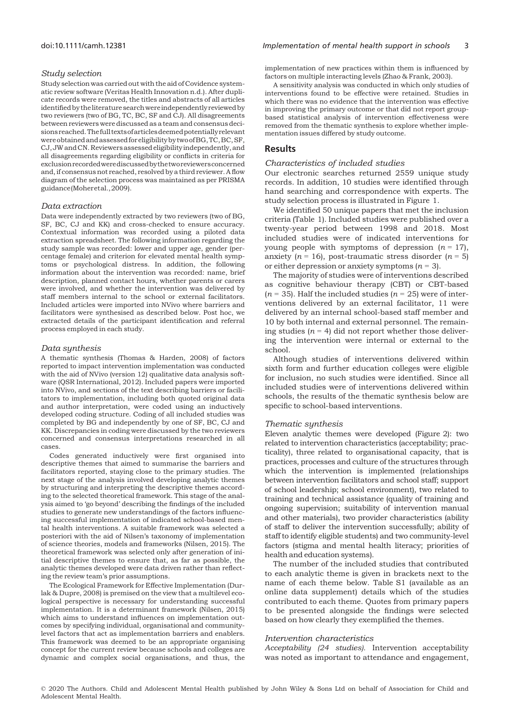#### Study selection

Study selection was carried out with the aid of Covidence systematic review software (Veritas Health Innovation n.d.). After duplicate records were removed, the titles and abstracts of all articles identified by the literature search were independently reviewed by two reviewers (two of BG, TC, BC, SF and CJ). All disagreements between reviewers were discussed as a team and consensus decisionsreached.The full textsofarticlesdeemedpotentiallyrelevant were obtainedandassessed for eligibilityby two ofBG,TC,BC,SF, CJ, JW and CN. Reviewers assessed eligibilityindependently, and all disagreements regarding eligibility or conflicts in criteria for exclusionrecordedwerediscussedbythetworeviewersconcerned and, if consensus not reached, resolved by a third reviewer. Aflow diagram of the selection process was maintained as per PRISMA guidance(Moheretal.,2009).

#### Data extraction

Data were independently extracted by two reviewers (two of BG, SF, BC, CJ and KK) and cross-checked to ensure accuracy. Contextual information was recorded using a piloted data extraction spreadsheet. The following information regarding the study sample was recorded: lower and upper age, gender (percentage female) and criterion for elevated mental health symptoms or psychological distress. In addition, the following information about the intervention was recorded: name, brief description, planned contact hours, whether parents or carers were involved, and whether the intervention was delivered by staff members internal to the school or external facilitators. Included articles were imported into NVivo where barriers and facilitators were synthesised as described below. Post hoc, we extracted details of the participant identification and referral process employed in each study.

#### Data synthesis

A thematic synthesis (Thomas & Harden, 2008) of factors reported to impact intervention implementation was conducted with the aid of NVivo (version 12) qualitative data analysis software (QSR International, 2012). Included papers were imported into NVivo, and sections of the text describing barriers or facilitators to implementation, including both quoted original data and author interpretation, were coded using an inductively developed coding structure. Coding of all included studies was completed by BG and independently by one of SF, BC, CJ and KK. Discrepancies in coding were discussed by the two reviewers concerned and consensus interpretations researched in all cases.

Codes generated inductively were first organised into descriptive themes that aimed to summarise the barriers and facilitators reported, staying close to the primary studies. The next stage of the analysis involved developing analytic themes by structuring and interpreting the descriptive themes according to the selected theoretical framework. This stage of the analysis aimed to 'go beyond' describing the findings of the included studies to generate new understandings of the factors influencing successful implementation of indicated school-based mental health interventions. A suitable framework was selected a posteriori with the aid of Nilsen's taxonomy of implementation of science theories, models and frameworks (Nilsen, 2015). The theoretical framework was selected only after generation of initial descriptive themes to ensure that, as far as possible, the analytic themes developed were data driven rather than reflecting the review team's prior assumptions.

The Ecological Framework for Effective Implementation (Durlak & Dupre, 2008) is premised on the view that a multilevel ecological perspective is necessary for understanding successful implementation. It is a determinant framework (Nilsen, 2015) which aims to understand influences on implementation outcomes by specifying individual, organisational and communitylevel factors that act as implementation barriers and enablers. This framework was deemed to be an appropriate organising concept for the current review because schools and colleges are dynamic and complex social organisations, and thus, the implementation of new practices within them is influenced by factors on multiple interacting levels (Zhao & Frank, 2003).

A sensitivity analysis was conducted in which only studies of interventions found to be effective were retained. Studies in which there was no evidence that the intervention was effective in improving the primary outcome or that did not report groupbased statistical analysis of intervention effectiveness were removed from the thematic synthesis to explore whether implementation issues differed by study outcome.

## Results

#### Characteristics of included studies

Our electronic searches returned 2559 unique study records. In addition, 10 studies were identified through hand searching and correspondence with experts. The study selection process is illustrated in Figure 1.

We identified 50 unique papers that met the inclusion criteria (Table 1). Included studies were published over a twenty-year period between 1998 and 2018. Most included studies were of indicated interventions for young people with symptoms of depression  $(n = 17)$ , anxiety ( $n = 16$ ), post-traumatic stress disorder ( $n = 5$ ) or either depression or anxiety symptoms ( $n = 3$ ).

The majority of studies were of interventions described as cognitive behaviour therapy (CBT) or CBT-based  $(n = 35)$ . Half the included studies  $(n = 25)$  were of interventions delivered by an external facilitator, 11 were delivered by an internal school-based staff member and 10 by both internal and external personnel. The remaining studies ( $n = 4$ ) did not report whether those delivering the intervention were internal or external to the school.

Although studies of interventions delivered within sixth form and further education colleges were eligible for inclusion, no such studies were identified. Since all included studies were of interventions delivered within schools, the results of the thematic synthesis below are specific to school-based interventions.

#### Thematic synthesis

Eleven analytic themes were developed (Figure 2): two related to intervention characteristics (acceptability; practicality), three related to organisational capacity, that is practices, processes and culture of the structures through which the intervention is implemented (relationships between intervention facilitators and school staff; support of school leadership; school environment), two related to training and technical assistance (quality of training and ongoing supervision; suitability of intervention manual and other materials), two provider characteristics (ability of staff to deliver the intervention successfully; ability of staff to identify eligible students) and two community-level factors (stigma and mental health literacy; priorities of health and education systems).

The number of the included studies that contributed to each analytic theme is given in brackets next to the name of each theme below. Table S1 (available as an online data supplement) details which of the studies contributed to each theme. Quotes from primary papers to be presented alongside the findings were selected based on how clearly they exemplified the themes.

#### Intervention characteristics

Acceptability (24 studies). Intervention acceptability was noted as important to attendance and engagement,

© 2020 The Authors. Child and Adolescent Mental Health published by John Wiley & Sons Ltd on behalf of Association for Child and Adolescent Mental Health.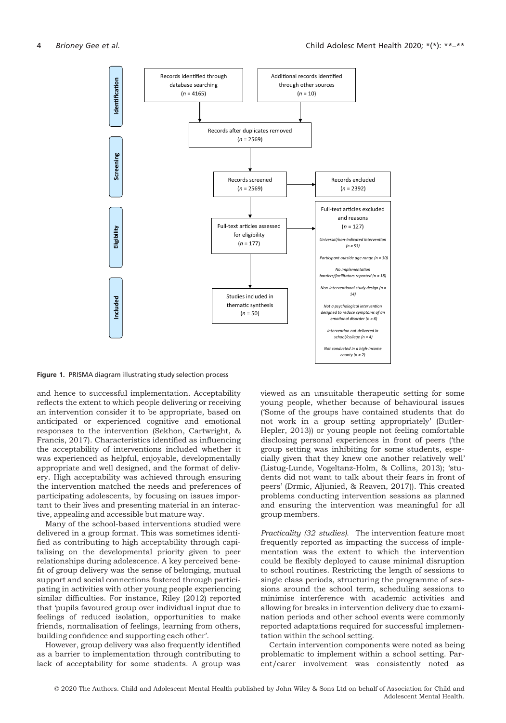

Figure 1. PRISMA diagram illustrating study selection process

and hence to successful implementation. Acceptability reflects the extent to which people delivering or receiving an intervention consider it to be appropriate, based on anticipated or experienced cognitive and emotional responses to the intervention (Sekhon, Cartwright, & Francis, 2017). Characteristics identified as influencing the acceptability of interventions included whether it was experienced as helpful, enjoyable, developmentally appropriate and well designed, and the format of delivery. High acceptability was achieved through ensuring the intervention matched the needs and preferences of participating adolescents, by focusing on issues important to their lives and presenting material in an interactive, appealing and accessible but mature way.

Many of the school-based interventions studied were delivered in a group format. This was sometimes identified as contributing to high acceptability through capitalising on the developmental priority given to peer relationships during adolescence. A key perceived benefit of group delivery was the sense of belonging, mutual support and social connections fostered through participating in activities with other young people experiencing similar difficulties. For instance, Riley (2012) reported that 'pupils favoured group over individual input due to feelings of reduced isolation, opportunities to make friends, normalisation of feelings, learning from others, building confidence and supporting each other'.

However, group delivery was also frequently identified as a barrier to implementation through contributing to lack of acceptability for some students. A group was

viewed as an unsuitable therapeutic setting for some young people, whether because of behavioural issues ('Some of the groups have contained students that do not work in a group setting appropriately' (Butler-Hepler, 2013)) or young people not feeling comfortable disclosing personal experiences in front of peers ('the group setting was inhibiting for some students, especially given that they knew one another relatively well' (Listug-Lunde, Vogeltanz-Holm, & Collins, 2013); 'students did not want to talk about their fears in front of peers' (Drmic, Aljunied, & Reaven, 2017)). This created problems conducting intervention sessions as planned and ensuring the intervention was meaningful for all group members.

Practicality (32 studies). The intervention feature most frequently reported as impacting the success of implementation was the extent to which the intervention could be flexibly deployed to cause minimal disruption to school routines. Restricting the length of sessions to single class periods, structuring the programme of sessions around the school term, scheduling sessions to minimise interference with academic activities and allowing for breaks in intervention delivery due to examination periods and other school events were commonly reported adaptations required for successful implementation within the school setting.

Certain intervention components were noted as being problematic to implement within a school setting. Parent/carer involvement was consistently noted as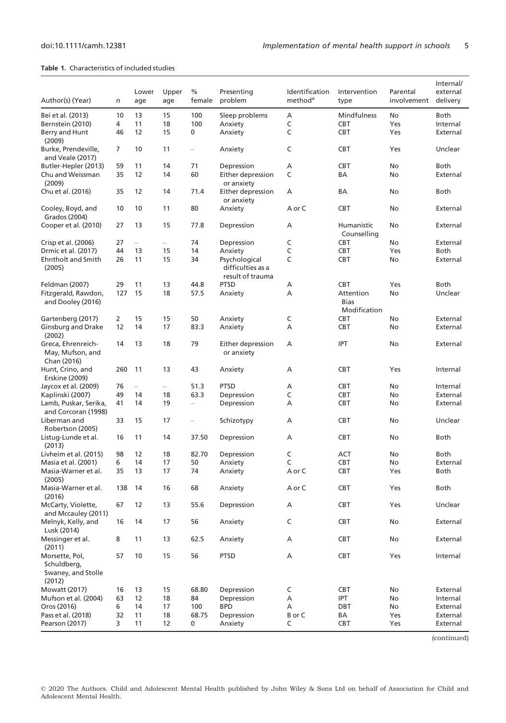## Table 1. Characteristics of included studies

| Author(s) (Year)                                              | n       | Lower<br>age             | Upper<br>age             | $\%$<br>female                    | Presenting<br>problem                                  | Identification<br>method <sup>a</sup> | Intervention<br>type                     | Parental<br>involvement | Internal/<br>external<br>delivery |
|---------------------------------------------------------------|---------|--------------------------|--------------------------|-----------------------------------|--------------------------------------------------------|---------------------------------------|------------------------------------------|-------------------------|-----------------------------------|
| Bei et al. (2013)                                             | 10      | 13                       | 15                       | 100                               | Sleep problems                                         | A                                     | Mindfulness                              | No                      | <b>Both</b>                       |
| Bernstein (2010)<br>Berry and Hunt                            | 4<br>46 | 11<br>12                 | 18<br>15                 | 100<br>0                          | Anxiety<br>Anxiety                                     | C<br>C                                | <b>CBT</b><br><b>CBT</b>                 | Yes<br>Yes              | Internal<br>External              |
| (2009)<br>Burke, Prendeville,<br>and Veale (2017)             | 7       | 10                       | 11                       | $\hspace{1.0cm} - \hspace{1.0cm}$ | Anxiety                                                | C                                     | <b>CBT</b>                               | Yes                     | Unclear                           |
| Butler-Hepler (2013)                                          | 59      | 11                       | 14                       | 71                                | Depression                                             | Α                                     | <b>CBT</b>                               | No                      | <b>Both</b>                       |
| Chu and Weissman<br>(2009)                                    | 35      | 12                       | 14                       | 60                                | Either depression<br>or anxiety                        | C                                     | ВA                                       | No                      | External                          |
| Chu et al. (2016)                                             | 35      | 12                       | 14                       | 71.4                              | Either depression<br>or anxiety                        | Α                                     | BA                                       | No                      | <b>Both</b>                       |
| Cooley, Boyd, and<br>Grados (2004)                            | 10      | 10                       | 11                       | 80                                | Anxiety                                                | A or C                                | <b>CBT</b>                               | No                      | External                          |
| Cooper et al. (2010)                                          | 27      | 13                       | 15                       | 77.8                              | Depression                                             | Α                                     | Humanistic<br>Counselling                | No                      | External                          |
| Crisp et al. (2006)                                           | 27      | $\overline{\phantom{0}}$ | $\overline{\phantom{0}}$ | 74                                | Depression                                             | C                                     | <b>CBT</b>                               | No                      | External                          |
| Drmic et al. (2017)                                           | 44      | 13                       | 15                       | 14                                | Anxiety                                                | C                                     | <b>CBT</b>                               | Yes                     | <b>Both</b>                       |
| <b>Ehntholt and Smith</b><br>(2005)                           | 26      | 11                       | 15                       | 34                                | Psychological<br>difficulties as a<br>result of trauma | C                                     | <b>CBT</b>                               | No                      | External                          |
| Feldman (2007)                                                | 29      | 11                       | 13                       | 44.8                              | <b>PTSD</b>                                            | Α                                     | <b>CBT</b>                               | Yes                     | <b>Both</b>                       |
| Fitzgerald, Rawdon,<br>and Dooley (2016)                      | 127     | 15                       | 18                       | 57.5                              | Anxiety                                                | A                                     | Attention<br><b>Bias</b><br>Modification | No                      | Unclear                           |
| Gartenberg (2017)                                             | 2       | 15                       | 15                       | 50                                | Anxiety                                                | C                                     | <b>CBT</b>                               | No                      | External                          |
| <b>Ginsburg and Drake</b><br>(2002)                           | 12      | 14                       | 17                       | 83.3                              | Anxiety                                                | A                                     | <b>CBT</b>                               | No                      | External                          |
| Greca, Ehrenreich-<br>May, Mufson, and<br>Chan (2016)         | 14      | 13                       | 18                       | 79                                | Either depression<br>or anxiety                        | Α                                     | IPT                                      | No                      | External                          |
| Hunt, Crino, and<br>Erskine (2009)                            | 260     | 11                       | 13                       | 43                                | Anxiety                                                | Α                                     | <b>CBT</b>                               | Yes                     | Internal                          |
| Jaycox et al. (2009)                                          | 76      | $\equiv$                 | $\equiv$                 | 51.3                              | <b>PTSD</b>                                            | Α                                     | <b>CBT</b>                               | No                      | Internal                          |
| Kaplinski (2007)                                              | 49      | 14                       | 18                       | 63.3                              | Depression                                             | C                                     | <b>CBT</b>                               | No                      | External                          |
| Lamb, Puskar, Serika,<br>and Corcoran (1998)                  | 41      | 14                       | 19                       |                                   | Depression                                             | A                                     | <b>CBT</b>                               | No                      | External                          |
| Liberman and<br>Robertson (2005)                              | 33      | 15                       | 17                       | $\hspace{1.0cm} - \hspace{1.0cm}$ | Schizotypy                                             | A                                     | <b>CBT</b>                               | No                      | Unclear                           |
| Listug-Lunde et al.<br>(2013)                                 | 16      | 11                       | 14                       | 37.50                             | Depression                                             | Α                                     | <b>CBT</b>                               | No                      | Both                              |
| Livheim et al. (2015)                                         | 98      | 12                       | 18                       | 82.70                             | Depression                                             | C                                     | <b>ACT</b>                               | No                      | Both                              |
| Masia et al. (2001)                                           | 6       | 14                       | 17                       | 50                                | Anxiety                                                | C                                     | <b>CBT</b>                               | No                      | External                          |
| Masia-Warner et al.<br>(2005)                                 | 35      | 13                       | 17                       | 74                                | Anxiety                                                | A or C                                | CBT                                      | Yes                     | Both                              |
| Masia-Warner et al.<br>(2016)                                 | 138     | 14                       | 16                       | 68                                | Anxiety                                                | A or C                                | CBT                                      | Yes                     | Both                              |
| McCarty, Violette,<br>and Mccauley (2011)                     | 67      | 12                       | 13                       | 55.6                              | Depression                                             | A                                     | <b>CBT</b>                               | Yes                     | Unclear                           |
| Melnyk, Kelly, and<br>Lusk (2014)                             | 16      | 14                       | 17                       | 56                                | Anxiety                                                | C                                     | <b>CBT</b>                               | No                      | External                          |
| Messinger et al.<br>(2011)                                    | 8       | 11                       | 13                       | 62.5                              | Anxiety                                                | Α                                     | CBT                                      | No                      | External                          |
| Morsette, Pol,<br>Schuldberg,<br>Swaney, and Stolle<br>(2012) | 57      | 10                       | 15                       | 56                                | PTSD                                                   | A                                     | CBT                                      | Yes                     | Internal                          |
| Mowatt (2017)                                                 | 16      | 13                       | 15                       | 68.80                             | Depression                                             | C                                     | <b>CBT</b>                               | No                      | External                          |
| Mufson et al. (2004)                                          | 63      | 12                       | 18                       | 84                                | Depression                                             | Α                                     | <b>IPT</b>                               | No                      | Internal                          |
| Oros (2016)                                                   | 6<br>32 | 14                       | 17                       | 100                               | <b>BPD</b>                                             | Α                                     | <b>DBT</b>                               | No                      | External                          |
| Pass et al. (2018)<br>Pearson (2017)                          | 3       | 11<br>11                 | 18<br>12                 | 68.75<br>0                        | Depression<br>Anxiety                                  | B or C<br>C                           | BA<br><b>CBT</b>                         | Yes<br>Yes              | External<br>External              |

(continued)

© 2020 The Authors. Child and Adolescent Mental Health published by John Wiley & Sons Ltd on behalf of Association for Child and Adolescent Mental Health.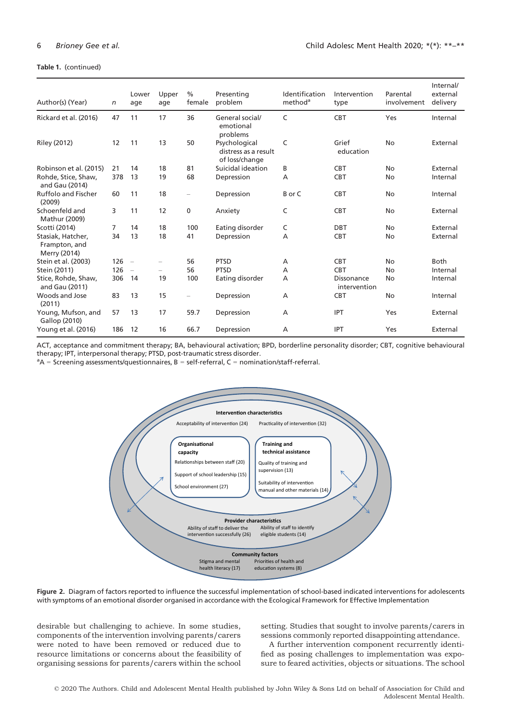#### Table 1. (continued)

| Author(s) (Year)                                   | n   | Lower<br>age             | Upper<br>age | $\frac{0}{0}$<br>female  | Presenting<br>problem                                   | Identification<br>method <sup>a</sup> | Intervention<br>type       | Parental<br>involvement | Internal/<br>external<br>delivery |
|----------------------------------------------------|-----|--------------------------|--------------|--------------------------|---------------------------------------------------------|---------------------------------------|----------------------------|-------------------------|-----------------------------------|
| Rickard et al. (2016)                              | 47  | 11                       | 17           | 36                       | General social/<br>emotional<br>problems                | $\mathsf{C}$                          | <b>CBT</b>                 | Yes                     | Internal                          |
| <b>Riley (2012)</b>                                | 12  | 11                       | 13           | 50                       | Psychological<br>distress as a result<br>of loss/change | C                                     | Grief<br>education         | <b>No</b>               | External                          |
| Robinson et al. (2015)                             | 21  | 14                       | 18           | 81                       | Suicidal ideation                                       | B                                     | <b>CBT</b>                 | <b>No</b>               | External                          |
| Rohde, Stice, Shaw,<br>and Gau (2014)              | 378 | 13                       | 19           | 68                       | Depression                                              | A                                     | <b>CBT</b>                 | No                      | Internal                          |
| <b>Ruffolo and Fischer</b><br>(2009)               | 60  | 11                       | 18           | $\overline{\phantom{0}}$ | Depression                                              | B or C                                | <b>CBT</b>                 | No                      | Internal                          |
| Schoenfeld and<br>Mathur (2009)                    | 3   | 11                       | 12           | 0                        | Anxiety                                                 | C                                     | <b>CBT</b>                 | No                      | External                          |
| Scotti (2014)                                      | 7   | 14                       | 18           | 100                      | Eating disorder                                         | C                                     | <b>DBT</b>                 | <b>No</b>               | External                          |
| Stasiak, Hatcher,<br>Frampton, and<br>Merry (2014) | 34  | 13                       | 18           | 41                       | Depression                                              | A                                     | CBT                        | <b>No</b>               | External                          |
| Stein et al. (2003)                                | 126 | $\overline{\phantom{a}}$ |              | 56                       | <b>PTSD</b>                                             | A                                     | <b>CBT</b>                 | No                      | <b>Both</b>                       |
| Stein (2011)                                       | 126 | $\overline{\phantom{m}}$ |              | 56                       | <b>PTSD</b>                                             | A                                     | <b>CBT</b>                 | No                      | Internal                          |
| Stice, Rohde, Shaw,<br>and Gau (2011)              | 306 | 14                       | 19           | 100                      | Eating disorder                                         | $\overline{A}$                        | Dissonance<br>intervention | No                      | Internal                          |
| Woods and Jose<br>(2011)                           | 83  | 13                       | 15           |                          | Depression                                              | A                                     | <b>CBT</b>                 | No                      | Internal                          |
| Young, Mufson, and<br>Gallop (2010)                | 57  | 13                       | 17           | 59.7                     | Depression                                              | A                                     | <b>IPT</b>                 | Yes                     | External                          |
| Young et al. (2016)                                | 186 | 12                       | 16           | 66.7                     | Depression                                              | $\overline{A}$                        | <b>IPT</b>                 | Yes                     | External                          |

ACT, acceptance and commitment therapy; BA, behavioural activation; BPD, borderline personality disorder; CBT, cognitive behavioural therapy; IPT, interpersonal therapy; PTSD, post-traumatic stress disorder.

 ${}^{a}$ A = Screening assessments/questionnaires, B = self-referral, C = nomination/staff-referral.



Figure 2. Diagram of factors reported to influence the successful implementation of school-based indicated interventions for adolescents with symptoms of an emotional disorder organised in accordance with the Ecological Framework for Effective Implementation

desirable but challenging to achieve. In some studies, components of the intervention involving parents/carers were noted to have been removed or reduced due to resource limitations or concerns about the feasibility of organising sessions for parents/carers within the school

setting. Studies that sought to involve parents/carers in sessions commonly reported disappointing attendance.

A further intervention component recurrently identified as posing challenges to implementation was exposure to feared activities, objects or situations. The school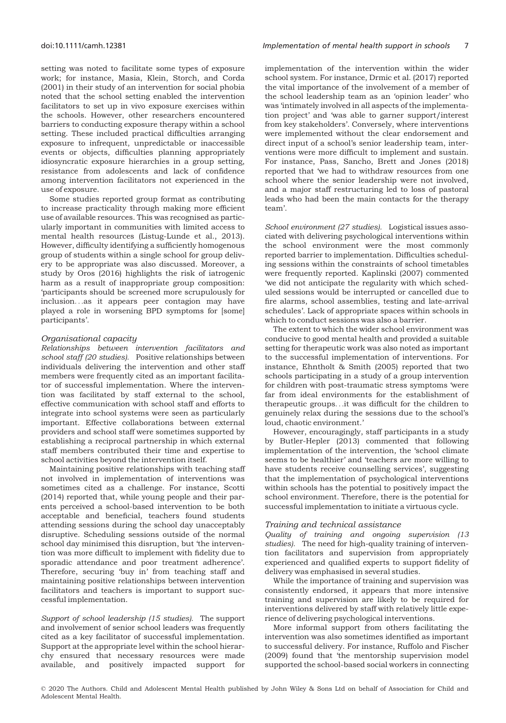setting was noted to facilitate some types of exposure work; for instance, Masia, Klein, Storch, and Corda (2001) in their study of an intervention for social phobia noted that the school setting enabled the intervention facilitators to set up in vivo exposure exercises within the schools. However, other researchers encountered barriers to conducting exposure therapy within a school setting. These included practical difficulties arranging exposure to infrequent, unpredictable or inaccessible events or objects, difficulties planning appropriately idiosyncratic exposure hierarchies in a group setting, resistance from adolescents and lack of confidence among intervention facilitators not experienced in the use of exposure.

Some studies reported group format as contributing to increase practicality through making more efficient use of available resources. This was recognised as particularly important in communities with limited access to mental health resources (Listug-Lunde et al., 2013). However, difficulty identifying a sufficiently homogenous group of students within a single school for group delivery to be appropriate was also discussed. Moreover, a study by Oros (2016) highlights the risk of iatrogenic harm as a result of inappropriate group composition: 'participants should be screened more scrupulously for inclusion...as it appears peer contagion may have played a role in worsening BPD symptoms for [some] participants'.

#### Organisational capacity

Relationships between intervention facilitators and school staff (20 studies). Positive relationships between individuals delivering the intervention and other staff members were frequently cited as an important facilitator of successful implementation. Where the intervention was facilitated by staff external to the school, effective communication with school staff and efforts to integrate into school systems were seen as particularly important. Effective collaborations between external providers and school staff were sometimes supported by establishing a reciprocal partnership in which external staff members contributed their time and expertise to school activities beyond the intervention itself.

Maintaining positive relationships with teaching staff not involved in implementation of interventions was sometimes cited as a challenge. For instance, Scotti (2014) reported that, while young people and their parents perceived a school-based intervention to be both acceptable and beneficial, teachers found students attending sessions during the school day unacceptably disruptive. Scheduling sessions outside of the normal school day minimised this disruption, but 'the intervention was more difficult to implement with fidelity due to sporadic attendance and poor treatment adherence'. Therefore, securing 'buy in' from teaching staff and maintaining positive relationships between intervention facilitators and teachers is important to support successful implementation.

Support of school leadership (15 studies). The support and involvement of senior school leaders was frequently cited as a key facilitator of successful implementation. Support at the appropriate level within the school hierarchy ensured that necessary resources were made available, and positively impacted support for

implementation of the intervention within the wider school system. For instance, Drmic et al. (2017) reported the vital importance of the involvement of a member of the school leadership team as an 'opinion leader' who was 'intimately involved in all aspects of the implementation project' and 'was able to garner support/interest from key stakeholders'. Conversely, where interventions were implemented without the clear endorsement and direct input of a school's senior leadership team, interventions were more difficult to implement and sustain. For instance, Pass, Sancho, Brett and Jones (2018) reported that 'we had to withdraw resources from one school where the senior leadership were not involved, and a major staff restructuring led to loss of pastoral leads who had been the main contacts for the therapy team'.

School environment (27 studies). Logistical issues associated with delivering psychological interventions within the school environment were the most commonly reported barrier to implementation. Difficulties scheduling sessions within the constraints of school timetables were frequently reported. Kaplinski (2007) commented 'we did not anticipate the regularity with which scheduled sessions would be interrupted or cancelled due to fire alarms, school assemblies, testing and late-arrival schedules'. Lack of appropriate spaces within schools in which to conduct sessions was also a barrier.

The extent to which the wider school environment was conducive to good mental health and provided a suitable setting for therapeutic work was also noted as important to the successful implementation of interventions. For instance, Ehntholt & Smith (2005) reported that two schools participating in a study of a group intervention for children with post-traumatic stress symptoms 'were far from ideal environments for the establishment of therapeutic groups...it was difficult for the children to genuinely relax during the sessions due to the school's loud, chaotic environment.'

However, encouragingly, staff participants in a study by Butler-Hepler (2013) commented that following implementation of the intervention, the 'school climate seems to be healthier' and 'teachers are more willing to have students receive counselling services', suggesting that the implementation of psychological interventions within schools has the potential to positively impact the school environment. Therefore, there is the potential for successful implementation to initiate a virtuous cycle.

## Training and technical assistance

Quality of training and ongoing supervision (13 studies). The need for high-quality training of intervention facilitators and supervision from appropriately experienced and qualified experts to support fidelity of delivery was emphasised in several studies.

While the importance of training and supervision was consistently endorsed, it appears that more intensive training and supervision are likely to be required for interventions delivered by staff with relatively little experience of delivering psychological interventions.

More informal support from others facilitating the intervention was also sometimes identified as important to successful delivery. For instance, Ruffolo and Fischer (2009) found that 'the mentorship supervision model supported the school-based social workers in connecting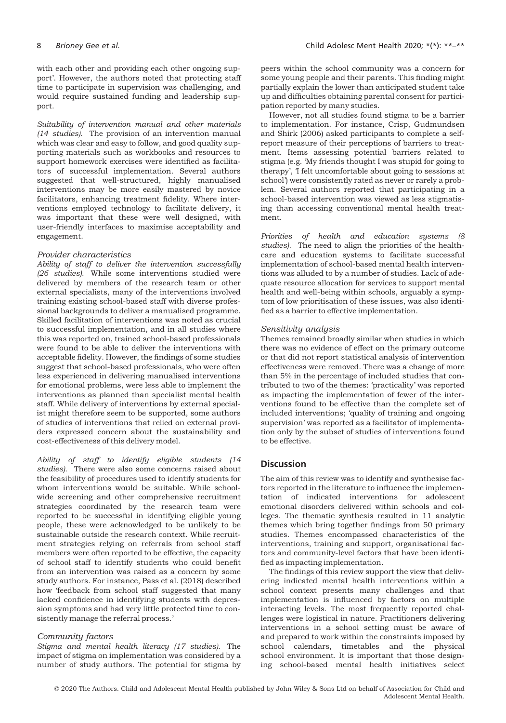with each other and providing each other ongoing support'. However, the authors noted that protecting staff time to participate in supervision was challenging, and would require sustained funding and leadership support.

Suitability of intervention manual and other materials (14 studies). The provision of an intervention manual which was clear and easy to follow, and good quality supporting materials such as workbooks and resources to support homework exercises were identified as facilitators of successful implementation. Several authors suggested that well-structured, highly manualised interventions may be more easily mastered by novice facilitators, enhancing treatment fidelity. Where interventions employed technology to facilitate delivery, it was important that these were well designed, with user-friendly interfaces to maximise acceptability and engagement.

## Provider characteristics

Ability of staff to deliver the intervention successfully (26 studies). While some interventions studied were delivered by members of the research team or other external specialists, many of the interventions involved training existing school-based staff with diverse professional backgrounds to deliver a manualised programme. Skilled facilitation of interventions was noted as crucial to successful implementation, and in all studies where this was reported on, trained school-based professionals were found to be able to deliver the interventions with acceptable fidelity. However, the findings of some studies suggest that school-based professionals, who were often less experienced in delivering manualised interventions for emotional problems, were less able to implement the interventions as planned than specialist mental health staff. While delivery of interventions by external specialist might therefore seem to be supported, some authors of studies of interventions that relied on external providers expressed concern about the sustainability and cost-effectiveness of this delivery model.

Ability of staff to identify eligible students (14 studies). There were also some concerns raised about the feasibility of procedures used to identify students for whom interventions would be suitable. While schoolwide screening and other comprehensive recruitment strategies coordinated by the research team were reported to be successful in identifying eligible young people, these were acknowledged to be unlikely to be sustainable outside the research context. While recruitment strategies relying on referrals from school staff members were often reported to be effective, the capacity of school staff to identify students who could benefit from an intervention was raised as a concern by some study authors. For instance, Pass et al. (2018) described how 'feedback from school staff suggested that many lacked confidence in identifying students with depression symptoms and had very little protected time to consistently manage the referral process.'

## Community factors

Stigma and mental health literacy (17 studies). The impact of stigma on implementation was considered by a number of study authors. The potential for stigma by

peers within the school community was a concern for some young people and their parents. This finding might partially explain the lower than anticipated student take up and difficulties obtaining parental consent for participation reported by many studies.

However, not all studies found stigma to be a barrier to implementation. For instance, Crisp, Gudmundsen and Shirk (2006) asked participants to complete a selfreport measure of their perceptions of barriers to treatment. Items assessing potential barriers related to stigma (e.g. 'My friends thought I was stupid for going to therapy', 'I felt uncomfortable about going to sessions at school') were consistently rated as never or rarely a problem. Several authors reported that participating in a school-based intervention was viewed as less stigmatising than accessing conventional mental health treatment.

Priorities of health and education systems (8 studies). The need to align the priorities of the healthcare and education systems to facilitate successful implementation of school-based mental health interventions was alluded to by a number of studies. Lack of adequate resource allocation for services to support mental health and well-being within schools, arguably a symptom of low prioritisation of these issues, was also identified as a barrier to effective implementation.

## Sensitivity analysis

Themes remained broadly similar when studies in which there was no evidence of effect on the primary outcome or that did not report statistical analysis of intervention effectiveness were removed. There was a change of more than 5% in the percentage of included studies that contributed to two of the themes: 'practicality' was reported as impacting the implementation of fewer of the interventions found to be effective than the complete set of included interventions; 'quality of training and ongoing supervision' was reported as a facilitator of implementation only by the subset of studies of interventions found to be effective.

# **Discussion**

The aim of this review was to identify and synthesise factors reported in the literature to influence the implementation of indicated interventions for adolescent emotional disorders delivered within schools and colleges. The thematic synthesis resulted in 11 analytic themes which bring together findings from 50 primary studies. Themes encompassed characteristics of the interventions, training and support, organisational factors and community-level factors that have been identified as impacting implementation.

The findings of this review support the view that delivering indicated mental health interventions within a school context presents many challenges and that implementation is influenced by factors on multiple interacting levels. The most frequently reported challenges were logistical in nature. Practitioners delivering interventions in a school setting must be aware of and prepared to work within the constraints imposed by school calendars, timetables and the physical school environment. It is important that those designing school-based mental health initiatives select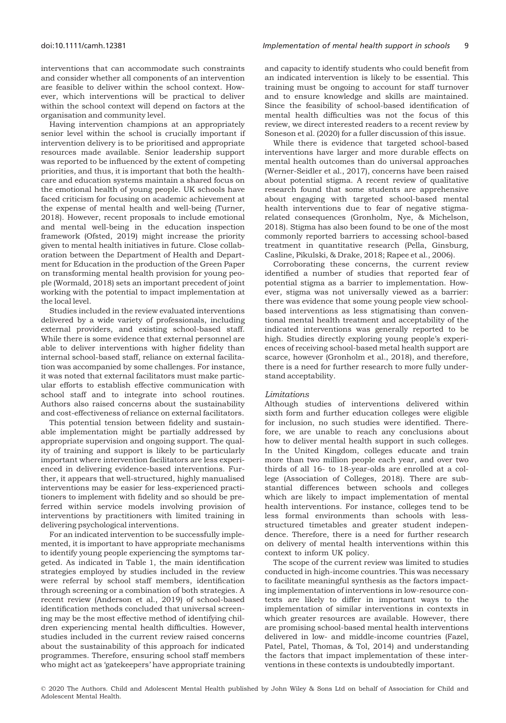interventions that can accommodate such constraints and consider whether all components of an intervention are feasible to deliver within the school context. However, which interventions will be practical to deliver within the school context will depend on factors at the organisation and community level.

Having intervention champions at an appropriately senior level within the school is crucially important if intervention delivery is to be prioritised and appropriate resources made available. Senior leadership support was reported to be influenced by the extent of competing priorities, and thus, it is important that both the healthcare and education systems maintain a shared focus on the emotional health of young people. UK schools have faced criticism for focusing on academic achievement at the expense of mental health and well-being (Turner, 2018). However, recent proposals to include emotional and mental well-being in the education inspection framework (Ofsted, 2019) might increase the priority given to mental health initiatives in future. Close collaboration between the Department of Health and Department for Education in the production of the Green Paper on transforming mental health provision for young people (Wormald, 2018) sets an important precedent of joint working with the potential to impact implementation at the local level.

Studies included in the review evaluated interventions delivered by a wide variety of professionals, including external providers, and existing school-based staff. While there is some evidence that external personnel are able to deliver interventions with higher fidelity than internal school-based staff, reliance on external facilitation was accompanied by some challenges. For instance, it was noted that external facilitators must make particular efforts to establish effective communication with school staff and to integrate into school routines. Authors also raised concerns about the sustainability and cost-effectiveness of reliance on external facilitators.

This potential tension between fidelity and sustainable implementation might be partially addressed by appropriate supervision and ongoing support. The quality of training and support is likely to be particularly important where intervention facilitators are less experienced in delivering evidence-based interventions. Further, it appears that well-structured, highly manualised interventions may be easier for less-experienced practitioners to implement with fidelity and so should be preferred within service models involving provision of interventions by practitioners with limited training in delivering psychological interventions.

For an indicated intervention to be successfully implemented, it is important to have appropriate mechanisms to identify young people experiencing the symptoms targeted. As indicated in Table 1, the main identification strategies employed by studies included in the review were referral by school staff members, identification through screening or a combination of both strategies. A recent review (Anderson et al., 2019) of school-based identification methods concluded that universal screening may be the most effective method of identifying children experiencing mental health difficulties. However, studies included in the current review raised concerns about the sustainability of this approach for indicated programmes. Therefore, ensuring school staff members who might act as 'gatekeepers' have appropriate training and capacity to identify students who could benefit from an indicated intervention is likely to be essential. This training must be ongoing to account for staff turnover and to ensure knowledge and skills are maintained. Since the feasibility of school-based identification of mental health difficulties was not the focus of this review, we direct interested readers to a recent review by Soneson et al. (2020) for a fuller discussion of this issue.

While there is evidence that targeted school-based interventions have larger and more durable effects on mental health outcomes than do universal approaches (Werner-Seidler et al., 2017), concerns have been raised about potential stigma. A recent review of qualitative research found that some students are apprehensive about engaging with targeted school-based mental health interventions due to fear of negative stigmarelated consequences (Gronholm, Nye, & Michelson, 2018). Stigma has also been found to be one of the most commonly reported barriers to accessing school-based treatment in quantitative research (Pella, Ginsburg, Casline, Pikulski, & Drake, 2018; Rapee et al., 2006).

Corroborating these concerns, the current review identified a number of studies that reported fear of potential stigma as a barrier to implementation. However, stigma was not universally viewed as a barrier: there was evidence that some young people view schoolbased interventions as less stigmatising than conventional mental health treatment and acceptability of the indicated interventions was generally reported to be high. Studies directly exploring young people's experiences of receiving school-based metal health support are scarce, however (Gronholm et al., 2018), and therefore, there is a need for further research to more fully understand acceptability.

#### Limitations

Although studies of interventions delivered within sixth form and further education colleges were eligible for inclusion, no such studies were identified. Therefore, we are unable to reach any conclusions about how to deliver mental health support in such colleges. In the United Kingdom, colleges educate and train more than two million people each year, and over two thirds of all 16- to 18-year-olds are enrolled at a college (Association of Colleges, 2018). There are substantial differences between schools and colleges which are likely to impact implementation of mental health interventions. For instance, colleges tend to be less formal environments than schools with lessstructured timetables and greater student independence. Therefore, there is a need for further research on delivery of mental health interventions within this context to inform UK policy.

The scope of the current review was limited to studies conducted in high-income countries. This was necessary to facilitate meaningful synthesis as the factors impacting implementation of interventions in low-resource contexts are likely to differ in important ways to the implementation of similar interventions in contexts in which greater resources are available. However, there are promising school-based mental health interventions delivered in low- and middle-income countries (Fazel, Patel, Patel, Thomas, & Tol, 2014) and understanding the factors that impact implementation of these interventions in these contexts is undoubtedly important.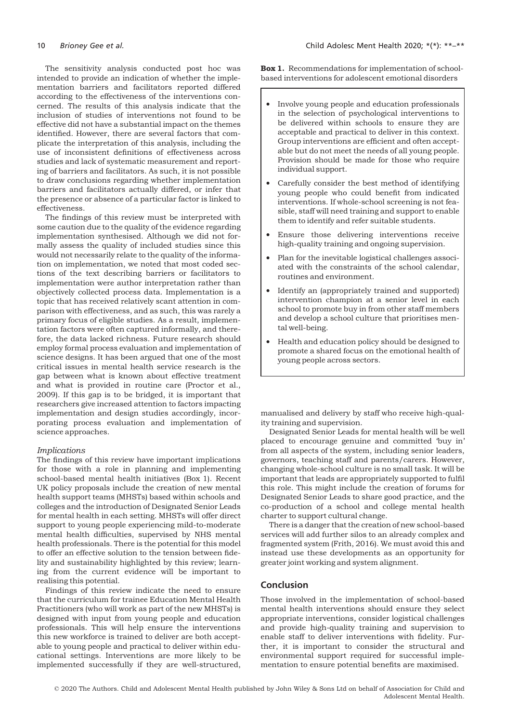The sensitivity analysis conducted post hoc was intended to provide an indication of whether the implementation barriers and facilitators reported differed according to the effectiveness of the interventions concerned. The results of this analysis indicate that the inclusion of studies of interventions not found to be effective did not have a substantial impact on the themes identified. However, there are several factors that complicate the interpretation of this analysis, including the use of inconsistent definitions of effectiveness across studies and lack of systematic measurement and reporting of barriers and facilitators. As such, it is not possible to draw conclusions regarding whether implementation barriers and facilitators actually differed, or infer that the presence or absence of a particular factor is linked to effectiveness.

The findings of this review must be interpreted with some caution due to the quality of the evidence regarding implementation synthesised. Although we did not formally assess the quality of included studies since this would not necessarily relate to the quality of the information on implementation, we noted that most coded sections of the text describing barriers or facilitators to implementation were author interpretation rather than objectively collected process data. Implementation is a topic that has received relatively scant attention in comparison with effectiveness, and as such, this was rarely a primary focus of eligible studies. As a result, implementation factors were often captured informally, and therefore, the data lacked richness. Future research should employ formal process evaluation and implementation of science designs. It has been argued that one of the most critical issues in mental health service research is the gap between what is known about effective treatment and what is provided in routine care (Proctor et al., 2009). If this gap is to be bridged, it is important that researchers give increased attention to factors impacting implementation and design studies accordingly, incorporating process evaluation and implementation of science approaches.

#### Implications

The findings of this review have important implications for those with a role in planning and implementing school-based mental health initiatives (Box 1). Recent UK policy proposals include the creation of new mental health support teams (MHSTs) based within schools and colleges and the introduction of Designated Senior Leads for mental health in each setting. MHSTs will offer direct support to young people experiencing mild-to-moderate mental health difficulties, supervised by NHS mental health professionals. There is the potential for this model to offer an effective solution to the tension between fidelity and sustainability highlighted by this review; learning from the current evidence will be important to realising this potential.

Findings of this review indicate the need to ensure that the curriculum for trainee Education Mental Health Practitioners (who will work as part of the new MHSTs) is designed with input from young people and education professionals. This will help ensure the interventions this new workforce is trained to deliver are both acceptable to young people and practical to deliver within educational settings. Interventions are more likely to be implemented successfully if they are well-structured,

Box 1. Recommendations for implementation of schoolbased interventions for adolescent emotional disorders

- Involve young people and education professionals in the selection of psychological interventions to be delivered within schools to ensure they are acceptable and practical to deliver in this context. Group interventions are efficient and often acceptable but do not meet the needs of all young people. Provision should be made for those who require individual support.
- Carefully consider the best method of identifying young people who could benefit from indicated interventions. If whole-school screening is not feasible, staff will need training and support to enable them to identify and refer suitable students.
- Ensure those delivering interventions receive high-quality training and ongoing supervision.
- Plan for the inevitable logistical challenges associated with the constraints of the school calendar, routines and environment.
- Identify an (appropriately trained and supported) intervention champion at a senior level in each school to promote buy in from other staff members and develop a school culture that prioritises mental well-being.
- Health and education policy should be designed to promote a shared focus on the emotional health of young people across sectors.

manualised and delivery by staff who receive high-quality training and supervision.

Designated Senior Leads for mental health will be well placed to encourage genuine and committed 'buy in' from all aspects of the system, including senior leaders, governors, teaching staff and parents/carers. However, changing whole-school culture is no small task. It will be important that leads are appropriately supported to fulfil this role. This might include the creation of forums for Designated Senior Leads to share good practice, and the co-production of a school and college mental health charter to support cultural change.

There is a danger that the creation of new school-based services will add further silos to an already complex and fragmented system (Frith, 2016). We must avoid this and instead use these developments as an opportunity for greater joint working and system alignment.

## Conclusion

Those involved in the implementation of school-based mental health interventions should ensure they select appropriate interventions, consider logistical challenges and provide high-quality training and supervision to enable staff to deliver interventions with fidelity. Further, it is important to consider the structural and environmental support required for successful implementation to ensure potential benefits are maximised.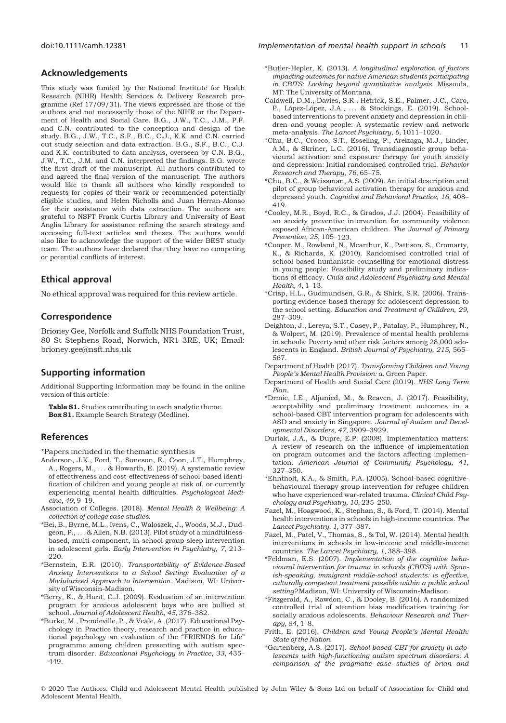## Acknowledgements

This study was funded by the National Institute for Health Research (NIHR) Health Services & Delivery Research programme (Ref 17/09/31). The views expressed are those of the authors and not necessarily those of the NIHR or the Department of Health and Social Care. B.G., J.W., T.C., J.M., P.F. and C.N. contributed to the conception and design of the study. B.G., J.W., T.C., S.F., B.C., C.J., K.K. and C.N. carried out study selection and data extraction. B.G., S.F., B.C., C.J. and K.K. contributed to data analysis, overseen by C.N. B.G., J.W., T.C., J.M. and C.N. interpreted the findings. B.G. wrote the first draft of the manuscript. All authors contributed to and agreed the final version of the manuscript. The authors would like to thank all authors who kindly responded to requests for copies of their work or recommended potentially eligible studies, and Helen Nicholls and Juan Herran-Alonso for their assistance with data extraction. The authors are grateful to NSFT Frank Curtis Library and University of East Anglia Library for assistance refining the search strategy and accessing full-text articles and theses. The authors would also like to acknowledge the support of the wider BEST study team. The authors have declared that they have no competing or potential conflicts of interest.

# Ethical approval

No ethical approval was required for this review article.

## Correspondence

Brioney Gee, Norfolk and Suffolk NHS Foundation Trust, 80 St Stephens Road, Norwich, NR1 3RE, UK; Email: [brioney.gee@nsft.nhs.uk](mailto:)

## Supporting information

Additional Supporting Information may be found in the online version of this article:

Table S1. Studies contributing to each analytic theme. Box S1. Example Search Strategy (Medline).

## References

\*Papers included in the thematic synthesis

- Anderson, J.K., Ford, T., Soneson, E., Coon, J.T., Humphrey, A., Rogers, M., ... & Howarth, E. (2019). A systematic review of effectiveness and cost-effectiveness of school-based identification of children and young people at risk of, or currently experiencing mental health difficulties. Psychological Medicine, 49, 9–19.
- Association of Colleges. (2018). Mental Health & Wellbeing: A collection of college case studies.
- \*Bei, B., Byrne, M.L., Ivens, C., Waloszek, J., Woods, M.J., Dudgeon, P., ... & Allen, N.B. (2013). Pilot study of a mindfulnessbased, multi-component, in-school group sleep intervention in adolescent girls. Early Intervention in Psychiatry, 7, 213– 220.
- \*Bernstein, E.R. (2010). Transportability of Evidence-Based Anxiety Interventions to a School Setting: Evaluation of a Modularized Approach to Intervention. Madison, WI: University of Wisconsin-Madison.
- \*Berry, K., & Hunt, C.J. (2009). Evaluation of an intervention program for anxious adolescent boys who are bullied at school. Journal of Adolescent Health, 45, 376–382.
- \*Burke, M., Prendeville, P., & Veale, A. (2017). Educational Psychology in Practice theory, research and practice in educational psychology an evaluation of the "FRIENDS for Life" programme among children presenting with autism spectrum disorder. Educational Psychology in Practice, 33, 435– 449.
- \*Butler-Hepler, K. (2013). A longitudinal exploration of factors impacting outcomes for native American students participating in CBITS: Looking beyond quantitative analysis. Missoula, MT: The University of Montana.
- Caldwell, D.M., Davies, S.R., Hetrick, S.E., Palmer, J.C., Caro, P., López-López, J.A., ... & Stockings, E. (2019). Schoolbased interventions to prevent anxiety and depression in children and young people: A systematic review and network meta-analysis. The Lancet Psychiatry, 6, 1011–1020.
- \*Chu, B.C., Crocco, S.T., Esseling, P., Areizaga, M.J., Linder, A.M., & Skriner, L.C. (2016). Transdiagnostic group behavioural activation and exposure therapy for youth anxiety and depression: Initial randomised controlled trial. Behavior Research and Therapy, 76, 65–75.
- \*Chu, B.C., & Weissman, A.S. (2009). An initial description and pilot of group behavioral activation therapy for anxious and depressed youth. Cognitive and Behavioral Practice, 16, 408– 419.
- \*Cooley, M.R., Boyd, R.C., & Grados, J.J. (2004). Feasibility of an anxiety preventive intervention for community violence exposed African-American children. The Journal of Primary Prevention, 25, 105–123.
- \*Cooper, M., Rowland, N., Mcarthur, K., Pattison, S., Cromarty, K., & Richards, K. (2010). Randomised controlled trial of school-based humanistic counselling for emotional distress in young people: Feasibility study and preliminary indications of efficacy. Child and Adolescent Psychiatry and Mental Health, 4, 1–13.
- \*Crisp, H.L., Gudmundsen, G.R., & Shirk, S.R. (2006). Transporting evidence-based therapy for adolescent depression to the school setting. Education and Treatment of Children, 29, 287–309.
- Deighton, J., Lereya, S.T., Casey, P., Patalay, P., Humphrey, N., & Wolpert, M. (2019). Prevalence of mental health problems in schools: Poverty and other risk factors among 28,000 adolescents in England. British Journal of Psychiatry, 215, 565– 567.
- Department of Health (2017). Transforming Children and Young People's Mental Health Provision: a. Green Paper.
- Department of Health and Social Care (2019). NHS Long Term Plan.
- \*Drmic, I.E., Aljunied, M., & Reaven, J. (2017). Feasibility, acceptability and preliminary treatment outcomes in a school-based CBT intervention program for adolescents with ASD and anxiety in Singapore. Journal of Autism and Developmental Disorders, 47, 3909–3929.
- Durlak, J.A., & Dupre, E.P. (2008). Implementation matters: A review of research on the influence of implementation on program outcomes and the factors affecting implementation. American Journal of Community Psychology, 41, 327–350.
- \*Ehntholt, K.A., & Smith, P.A. (2005). School-based cognitivebehavioural therapy group intervention for refugee children who have experienced war-related trauma. Clinical Child Psychology and Psychiatry, 10, 235–250.
- Fazel, M., Hoagwood, K., Stephan, S., & Ford, T. (2014). Mental health interventions in schools in high-income countries. The Lancet Psychiatry, 1, 377–387.
- Fazel, M., Patel, V., Thomas, S., & Tol, W. (2014). Mental health interventions in schools in low-income and middle-income countries. The Lancet Psychiatry, 1, 388–398.
- \*Feldman, E.S. (2007). Implementation of the cognitive behavioural intervention for trauma in schools (CBITS) with Spanish-speaking, immigrant middle-school students: is effective, culturally competent treatment possible within a public school setting? Madison, WI: University of Wisconsin-Madison.
- \*Fitzgerald, A., Rawdon, C., & Dooley, B. (2016). A randomized controlled trial of attention bias modification training for socially anxious adolescents. Behaviour Research and Therapy, 84, 1–8.
- Frith, E. (2016). Children and Young People's Mental Health: State of the Nation.
- \*Gartenberg, A.S. (2017). School-based CBT for anxiety in adolescents with high-functioning autism spectrum disorders: A comparison of the pragmatic case studies of brian and

© 2020 The Authors. Child and Adolescent Mental Health published by John Wiley & Sons Ltd on behalf of Association for Child and Adolescent Mental Health.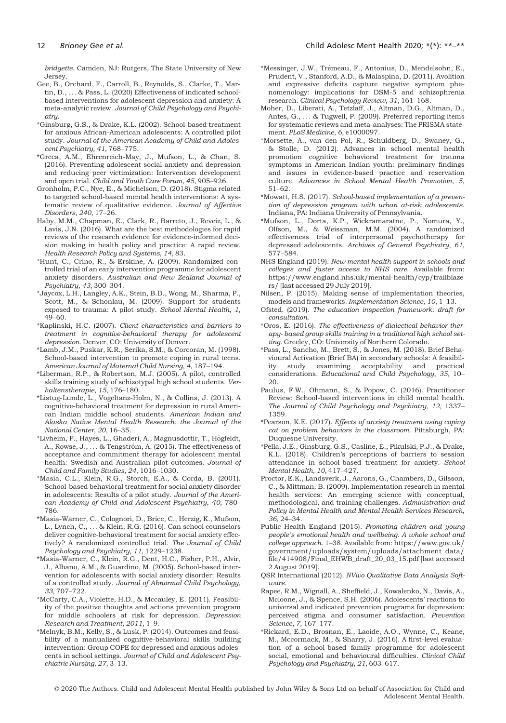bridgette. Camden, NJ: Rutgers, The State University of New Jersey.

- Gee, B., Orchard, F., Carroll, B., Reynolds, S., Clarke, T., Martin, D., ... & Pass, L. (2020) Effectiveness of indicated schoolbased interventions for adolescent depression and anxiety: A meta-analytic review. Journal of Child Psychology and Psychiatry.
- \*Ginsburg, G.S., & Drake, K.L. (2002). School-based treatment for anxious African-American adolescents: A controlled pilot study. Journal of the American Academy of Child and Adolescent Psychiatry, 41, 768–775.
- \*Greca, A.M., Ehrenreich-May, J., Mufson, L., & Chan, S. (2016). Preventing adolescent social anxiety and depression and reducing peer victimization: Intervention development and open trial. Child and Youth Care Forum, 45, 905–926.
- Gronholm, P.C., Nye, E., & Michelson, D. (2018). Stigma related to targeted school-based mental health interventions: A systematic review of qualitative evidence. Journal of Affective Disorders, 240, 17–26.
- Haby, M.M., Chapman, E., Clark, R., Barreto, J., Reveiz, L., & Lavis, J.N. (2016). What are the best methodologies for rapid reviews of the research evidence for evidence-informed decision making in health policy and practice: A rapid review. Health Research Policy and Systems, 14, 83.
- \*Hunt, C., Crino, R., & Erskine, A. (2009). Randomized controlled trial of an early intervention programme for adolescent anxiety disorders. Australian and New Zealand Journal of Psychiatry, 43, 300–304.
- \*Jaycox, L.H., Langley, A.K., Stein, B.D., Wong, M., Sharma, P., Scott, M., & Schonlau, M. (2009). Support for students exposed to trauma: A pilot study. School Mental Health, 1, 49–60.
- \*Kaplinski, H.C. (2007). Client characteristics and barriers to treatment in cognitive-behavioral therapy for adolescent depression. Denver, CO: University of Denver.
- \*Lamb, J.M., Puskar, K.R., Serika, S.M., & Corcoran, M. (1998). School-based intervention to promote coping in rural teens. American Journal of Maternal Child Nursing, 4, 187–194.
- \*Liberman, R.P., & Robertson, M.J. (2005). A pilot, controlled skills training study of schizotypal high school students. Verhaltenstherapie, 15, 176–180.
- \*Listug-Lunde, L., Vogeltanz-Holm, N., & Collins, J. (2013). A cognitive-behavioral treatment for depression in rural American Indian middle school students. American Indian and Alaska Native Mental Health Research: the Journal of the National Center, 20, 16–35.
- \*Livheim, F., Hayes, L., Ghaderi, A., Magnusdottir, T., Hogfeldt, € A., Rowse, J., ... & Tengström, A. (2015). The effectiveness of acceptance and commitment therapy for adolescent mental health: Swedish and Australian pilot outcomes. Journal of Child and Family Studies, 24, 1016–1030.
- \*Masia, C.L., Klein, R.G., Storch, E.A., & Corda, B. (2001). School-based behavioral treatment for social anxiety disorder in adolescents: Results of a pilot study. Journal of the American Academy of Child and Adolescent Psychiatry, 40, 780– 786.
- \*Masia-Warner, C., Colognori, D., Brice, C., Herzig, K., Mufson, L., Lynch, C., ... & Klein, R.G. (2016). Can school counselors deliver cognitive-behavioral treatment for social anxiety effectively? A randomized controlled trial. The Journal of Child Psychology and Psychiatry, 11, 1229–1238.
- \*Masia-Warner, C., Klein, R.G., Dent, H.C., Fisher, P.H., Alvir, J., Albano, A.M., & Guardino, M. (2005). School-based intervention for adolescents with social anxiety disorder: Results of a controlled study. Journal of Abnormal Child Psychology, 33, 707–722.
- \*McCarty, C.A., Violette, H.D., & Mccauley, E. (2011). Feasibility of the positive thoughts and actions prevention program for middle schoolers at risk for depression. Depression Research and Treatment, 2011, 1–9.
- \*Melnyk, B.M., Kelly, S., & Lusk, P. (2014). Outcomes and feasibility of a manualized cognitive-behavioral skills building intervention: Group COPE for depressed and anxious adolescents in school settings. Journal of Child and Adolescent Psychiatric Nursing, 27, 3–13.
- \*Messinger, J.W., Tremeau, F., Antonius, D., Mendelsohn, E., Prudent, V., Stanford, A.D., & Malaspina, D. (2011). Avolition and expressive deficits capture negative symptom phenomenology: implications for DSM-5 and schizophrenia research. Clinical Psychology Review, 31, 161–168.
- Moher, D., Liberati, A., Tetzlaff, J., Altman, D.G., Altman, D., Antes, G., ... & Tugwell, P. (2009). Preferred reporting items for systematic reviews and meta-analyses: The PRISMA statement. PLoS Medicine, 6, e1000097.
- \*Morsette, A., van den Pol, R., Schuldberg, D., Swaney, G., & Stolle, D. (2012). Advances in school mental health promotion cognitive behavioral treatment for trauma symptoms in American Indian youth: preliminary findings and issues in evidence-based practice and reservation culture. Advances in School Mental Health Promotion, 5, 51–62.
- \*Mowatt, H.S. (2017). School-based implementation of a prevention of depression program with urban at-risk adolescents. Indiana, PA: Indiana University of Pennsylvania.
- \*Mufson, L., Dorta, K.P., Wickramaratne, P., Nomura, Y., Olfson, M., & Weissman, M.M. (2004). A randomized effectiveness trial of interpersonal psychotherapy for depressed adolescents. Archives of General Psychiatry, 61, 577–584.
- NHS England (2019). New mental health support in schools and colleges and faster access to NHS care. Available from: [https://www.england.nhs.uk/mental-health/cyp/trailblaze](https://www.england.nhs.uk/mental-health/cyp/trailblazers/) [rs/](https://www.england.nhs.uk/mental-health/cyp/trailblazers/) [last accessed 29 July 2019].
- Nilsen, P. (2015). Making sense of implementation theories, models and frameworks. Implementation Science, 10, 1–13.
- Ofsted. (2019). The education inspection framework: draft for consultation.
- \*Oros, E. (2016). The effectiveness of dialectical behavior therapy- based group skills training in a traditional high school setting. Greeley, CO: University of Northern Colorado.
- \*Pass, L., Sancho, M., Brett, S., & Jones, M. (2018). Brief Behavioural Activation (Brief BA) in secondary schools: A feasibility study examining acceptability and practical considerations. Educational and Child Psychology, 35, 10–  $20<sup>2</sup>$
- Paulus, F.W., Ohmann, S., & Popow, C. (2016). Practitioner Review: School-based interventions in child mental health. The Journal of Child Psychology and Psychiatry, 12, 1337– 1359.
- \*Pearson, K.E. (2017). Effects of anxiety treatment using coping cat on problem behaviors in the classroom. Pittsburgh, PA: Duquesne University.
- \*Pella, J.E., Ginsburg, G.S., Casline, E., Pikulski, P.J., & Drake, K.L. (2018). Children's perceptions of barriers to session attendance in school-based treatment for anxiety. School Mental Health, 10, 417–427.
- Proctor, E.K., Landsverk, J., Aarons, G., Chambers, D., Gilsson, C., & Mittman, B. (2009). Implementation research in mental health services: An emerging science with conceptual, methodological, and training challenges. Administration and Policy in Mental Health and Mental Health Services Research, 36, 24–34.
- Public Health England (2015). Promoting children and young people's emotional health and wellbeing. A whole school and college approach. 1–38. Available from: [https://www.gov.uk/](https://www.gov.uk/government/uploads/system/uploads/attachment_data/file/414908/Final_EHWB_draft_20_03_15.pdf) [government/uploads/system/uploads/attachment\\_data/](https://www.gov.uk/government/uploads/system/uploads/attachment_data/file/414908/Final_EHWB_draft_20_03_15.pdf) fi[le/414908/Final\\_EHWB\\_draft\\_20\\_03\\_15.pdf](https://www.gov.uk/government/uploads/system/uploads/attachment_data/file/414908/Final_EHWB_draft_20_03_15.pdf) [last accessed 2 August 2019].
- QSR International (2012). NVivo Qualitative Data Analysis Software.
- Rapee, R.M., Wignall, A., Sheffield, J., Kowalenko, N., Davis, A., Mcloone, J., & Spence, S.H. (2006). Adolescents' reactions to universal and indicated prevention programs for depression: perceived stigma and consumer satisfaction. Prevention Science, 7, 167–177.
- \*Rickard, E.D., Brosnan, E., Laoide, A.O., Wynne, C., Keane, M., Mccormack, M., & Sharry, J. (2016). A first-level evaluation of a school-based family programme for adolescent social, emotional and behavioural difficulties. Clinical Child Psychology and Psychiatry, 21, 603–617.